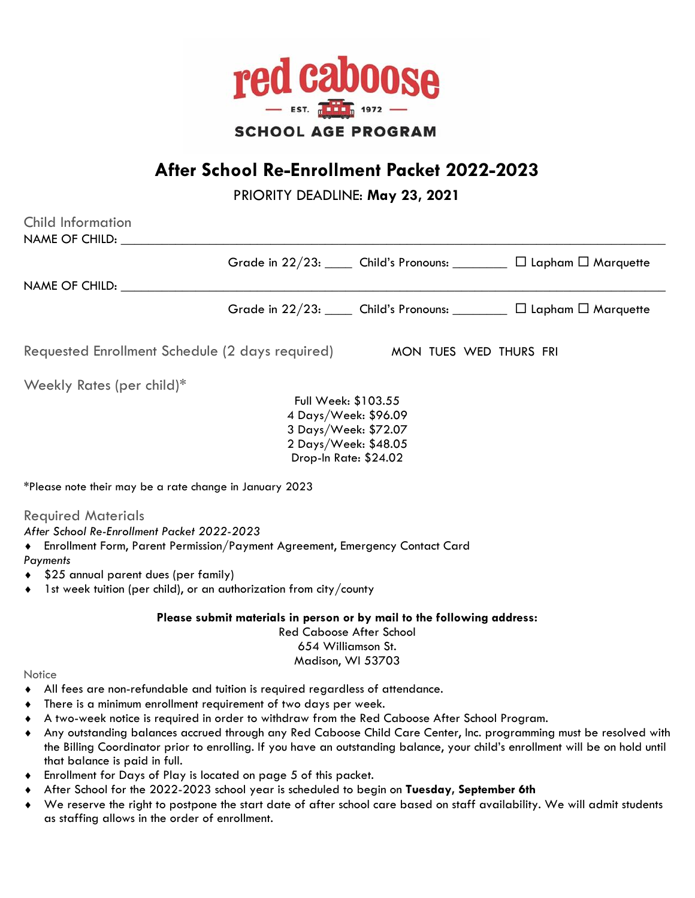

# **After School Re-Enrollment Packet 2022-2023**

PRIORITY DEADLINE: **May 23, 2021**

| <b>Child Information</b><br>NAME OF CHILD:                                                                                                                                                                                                                                                                                                   |                                                                                                                                                      |                        |                                                                                                                                                                                                                                                     |
|----------------------------------------------------------------------------------------------------------------------------------------------------------------------------------------------------------------------------------------------------------------------------------------------------------------------------------------------|------------------------------------------------------------------------------------------------------------------------------------------------------|------------------------|-----------------------------------------------------------------------------------------------------------------------------------------------------------------------------------------------------------------------------------------------------|
|                                                                                                                                                                                                                                                                                                                                              |                                                                                                                                                      |                        | Grade in 22/23: Child's Pronouns: _________ [ Lapham I Marquette                                                                                                                                                                                    |
| NAME OF CHILD:                                                                                                                                                                                                                                                                                                                               |                                                                                                                                                      |                        |                                                                                                                                                                                                                                                     |
|                                                                                                                                                                                                                                                                                                                                              |                                                                                                                                                      |                        | Grade in 22/23: Child's Pronouns: ________ [ Lapham I Marquette                                                                                                                                                                                     |
| Requested Enrollment Schedule (2 days required)                                                                                                                                                                                                                                                                                              |                                                                                                                                                      | MON TUES WED THURS FRI |                                                                                                                                                                                                                                                     |
| Weekly Rates (per child)*                                                                                                                                                                                                                                                                                                                    |                                                                                                                                                      |                        |                                                                                                                                                                                                                                                     |
|                                                                                                                                                                                                                                                                                                                                              | Full Week: \$103.55<br>4 Days/Week: \$96.09<br>3 Days/Week: \$72.07<br>2 Days/Week: \$48.05<br>Drop-In Rate: \$24.02                                 |                        |                                                                                                                                                                                                                                                     |
| *Please note their may be a rate change in January 2023                                                                                                                                                                                                                                                                                      |                                                                                                                                                      |                        |                                                                                                                                                                                                                                                     |
| <b>Required Materials</b><br>After School Re-Enrollment Packet 2022-2023<br>Finrollment Form, Parent Permission/Payment Agreement, Emergency Contact Card<br>Payments<br>\$25 annual parent dues (per family)<br>1st week tuition (per child), or an authorization from city/county<br>$\bullet$                                             |                                                                                                                                                      |                        |                                                                                                                                                                                                                                                     |
|                                                                                                                                                                                                                                                                                                                                              | Please submit materials in person or by mail to the following address:<br><b>Red Caboose After School</b><br>654 Williamson St.<br>Madison, WI 53703 |                        |                                                                                                                                                                                                                                                     |
| Notice                                                                                                                                                                                                                                                                                                                                       |                                                                                                                                                      |                        |                                                                                                                                                                                                                                                     |
| All fees are non-refundable and tuition is required regardless of attendance.<br>$\bullet$<br>There is a minimum enrollment requirement of two days per week.<br>$\bullet$<br>A two-week notice is required in order to withdraw from the Red Caboose After School Program.<br>$\bullet$<br>$\blacklozenge$<br>that balance is paid in full. |                                                                                                                                                      |                        | Any outstanding balances accrued through any Red Caboose Child Care Center, Inc. programming must be resolved with<br>the Billing Coordinator prior to enrolling. If you have an outstanding balance, your child's enrollment will be on hold until |

- Enrollment for Days of Play is located on page 5 of this packet.
- After School for the 2022-2023 school year is scheduled to begin on **Tuesday, September 6th**
- We reserve the right to postpone the start date of after school care based on staff availability. We will admit students as staffing allows in the order of enrollment.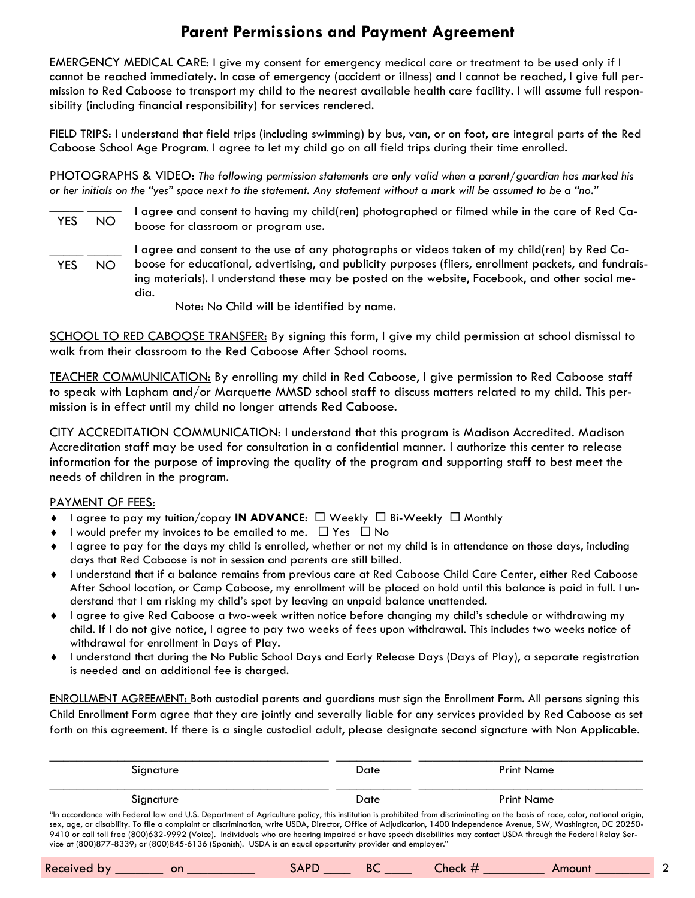## **Parent Permissions and Payment Agreement**

EMERGENCY MEDICAL CARE: I give my consent for emergency medical care or treatment to be used only if I cannot be reached immediately. In case of emergency (accident or illness) and I cannot be reached, I give full permission to Red Caboose to transport my child to the nearest available health care facility. I will assume full responsibility (including financial responsibility) for services rendered.

FIELD TRIPS: I understand that field trips (including swimming) by bus, van, or on foot, are integral parts of the Red Caboose School Age Program. I agree to let my child go on all field trips during their time enrolled.

PHOTOGRAPHS & VIDEO: *The following permission statements are only valid when a parent/guardian has marked his or her initials on the "yes" space next to the statement. Any statement without a mark will be assumed to be a "no."* 

- \_\_\_\_\_ \_\_\_\_\_ YES NO I agree and consent to having my child(ren) photographed or filmed while in the care of Red Caboose for classroom or program use.
- $\frac{\frac{1}{2} \left( \frac{1}{2} \right) \left( \frac{1}{2} \right) \left( \frac{1}{2} \right) \left( \frac{1}{2} \right) \left( \frac{1}{2} \right) \left( \frac{1}{2} \right) \left( \frac{1}{2} \right) \left( \frac{1}{2} \right) \left( \frac{1}{2} \right) \left( \frac{1}{2} \right) \left( \frac{1}{2} \right) \left( \frac{1}{2} \right) \left( \frac{1}{2} \right) \left( \frac{1}{2} \right) \left( \frac{1}{2} \right) \left( \frac{1}{2} \right) \left($  YES NO I agree and consent to the use of any photographs or videos taken of my child(ren) by Red Caboose for educational, advertising, and publicity purposes (fliers, enrollment packets, and fundraising materials). I understand these may be posted on the website, Facebook, and other social media.
	- Note: No Child will be identified by name.

SCHOOL TO RED CABOOSE TRANSFER: By signing this form, I give my child permission at school dismissal to walk from their classroom to the Red Caboose After School rooms.

TEACHER COMMUNICATION: By enrolling my child in Red Caboose, I give permission to Red Caboose staff to speak with Lapham and/or Marquette MMSD school staff to discuss matters related to my child. This permission is in effect until my child no longer attends Red Caboose.

CITY ACCREDITATION COMMUNICATION: I understand that this program is Madison Accredited. Madison Accreditation staff may be used for consultation in a confidential manner. I authorize this center to release information for the purpose of improving the quality of the program and supporting staff to best meet the needs of children in the program.

#### PAYMENT OF FEES:

- ◆ I agree to pay my tuition/copay **IN ADVANCE:** □ Weekly □ Bi-Weekly □ Monthly
- $\bullet$  I would prefer my invoices to be emailed to me.  $\Box$  Yes  $\Box$  No
- I agree to pay for the days my child is enrolled, whether or not my child is in attendance on those days, including days that Red Caboose is not in session and parents are still billed.
- I understand that if a balance remains from previous care at Red Caboose Child Care Center, either Red Caboose After School location, or Camp Caboose, my enrollment will be placed on hold until this balance is paid in full. I understand that I am risking my child's spot by leaving an unpaid balance unattended.
- I agree to give Red Caboose a two-week written notice before changing my child's schedule or withdrawing my child. If I do not give notice, I agree to pay two weeks of fees upon withdrawal. This includes two weeks notice of withdrawal for enrollment in Days of Play.
- I understand that during the No Public School Days and Early Release Days (Days of Play), a separate registration is needed and an additional fee is charged.

ENROLLMENT AGREEMENT: Both custodial parents and guardians must sign the Enrollment Form. All persons signing this Child Enrollment Form agree that they are jointly and severally liable for any services provided by Red Caboose as set forth on this agreement. If there is a single custodial adult, please designate second signature with Non Applicable.

| Signature                                                                                                                                                                                                                                                                                                                                                                                                                                                                                                                                                                                                                     | Date | Print Name |
|-------------------------------------------------------------------------------------------------------------------------------------------------------------------------------------------------------------------------------------------------------------------------------------------------------------------------------------------------------------------------------------------------------------------------------------------------------------------------------------------------------------------------------------------------------------------------------------------------------------------------------|------|------------|
| Signature                                                                                                                                                                                                                                                                                                                                                                                                                                                                                                                                                                                                                     | Date | Print Name |
| "In accordance with Federal law and U.S. Department of Agriculture policy, this institution is prohibited from discriminating on the basis of race, color, national origin,<br>sex, age, or disability. To file a complaint or discrimination, write USDA, Director, Office of Adjudication, 1400 Independence Avenue, SW, Washington, DC 20250-<br>9410 or call toll free (800)632-9992 (Voice). Individuals who are hearing impaired or have speech disabilities may contact USDA through the Federal Relay Ser-<br>vice at (800)877-8339; or (800)845-6136 (Spanish). USDA is an equal opportunity provider and employer." |      |            |

| Received by |  | 3APP |  | Lheck $\#$ | Amount |  |
|-------------|--|------|--|------------|--------|--|
|-------------|--|------|--|------------|--------|--|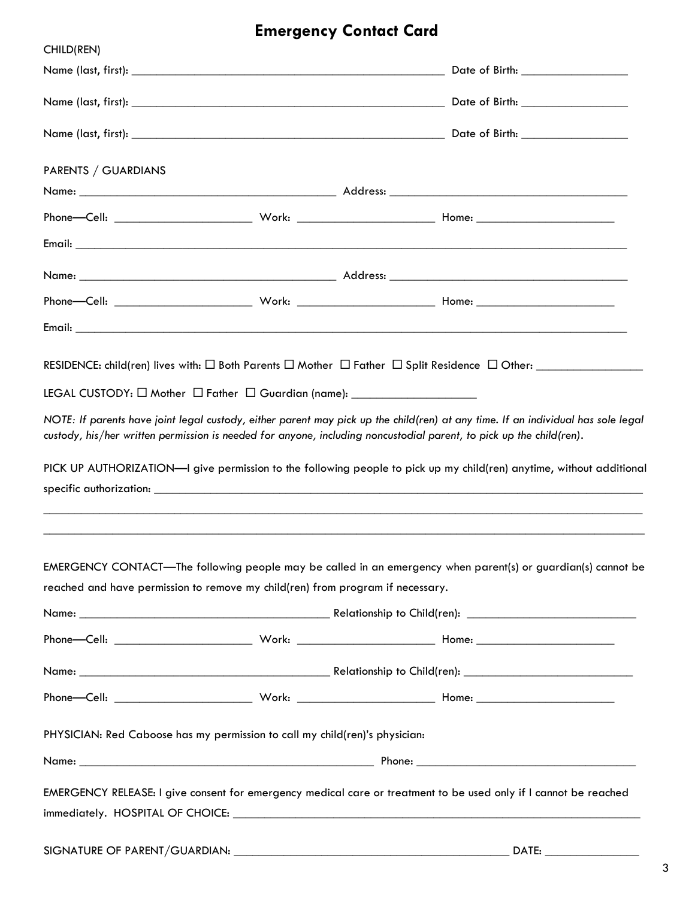# **Emergency Contact Card**

| CHILD(REN)                                                                     |  |  |                                                                                                                                                                                                                                                                                                                                                                                 |  |
|--------------------------------------------------------------------------------|--|--|---------------------------------------------------------------------------------------------------------------------------------------------------------------------------------------------------------------------------------------------------------------------------------------------------------------------------------------------------------------------------------|--|
|                                                                                |  |  |                                                                                                                                                                                                                                                                                                                                                                                 |  |
|                                                                                |  |  |                                                                                                                                                                                                                                                                                                                                                                                 |  |
|                                                                                |  |  |                                                                                                                                                                                                                                                                                                                                                                                 |  |
| PARENTS / GUARDIANS                                                            |  |  |                                                                                                                                                                                                                                                                                                                                                                                 |  |
|                                                                                |  |  |                                                                                                                                                                                                                                                                                                                                                                                 |  |
|                                                                                |  |  |                                                                                                                                                                                                                                                                                                                                                                                 |  |
|                                                                                |  |  |                                                                                                                                                                                                                                                                                                                                                                                 |  |
|                                                                                |  |  |                                                                                                                                                                                                                                                                                                                                                                                 |  |
|                                                                                |  |  |                                                                                                                                                                                                                                                                                                                                                                                 |  |
|                                                                                |  |  |                                                                                                                                                                                                                                                                                                                                                                                 |  |
|                                                                                |  |  | NOTE: If parents have joint legal custody, either parent may pick up the child(ren) at any time. If an individual has sole legal<br>custody, his/her written permission is needed for anyone, including noncustodial parent, to pick up the child(ren).<br>PICK UP AUTHORIZATION-I give permission to the following people to pick up my child(ren) anytime, without additional |  |
|                                                                                |  |  | EMERGENCY CONTACT—The following people may be called in an emergency when parent(s) or guardian(s) cannot be                                                                                                                                                                                                                                                                    |  |
| reached and have permission to remove my child(ren) from program if necessary. |  |  |                                                                                                                                                                                                                                                                                                                                                                                 |  |
|                                                                                |  |  |                                                                                                                                                                                                                                                                                                                                                                                 |  |
|                                                                                |  |  |                                                                                                                                                                                                                                                                                                                                                                                 |  |
|                                                                                |  |  |                                                                                                                                                                                                                                                                                                                                                                                 |  |
|                                                                                |  |  |                                                                                                                                                                                                                                                                                                                                                                                 |  |
| PHYSICIAN: Red Caboose has my permission to call my child(ren)'s physician:    |  |  |                                                                                                                                                                                                                                                                                                                                                                                 |  |
|                                                                                |  |  |                                                                                                                                                                                                                                                                                                                                                                                 |  |
|                                                                                |  |  | EMERGENCY RELEASE: I give consent for emergency medical care or treatment to be used only if I cannot be reached                                                                                                                                                                                                                                                                |  |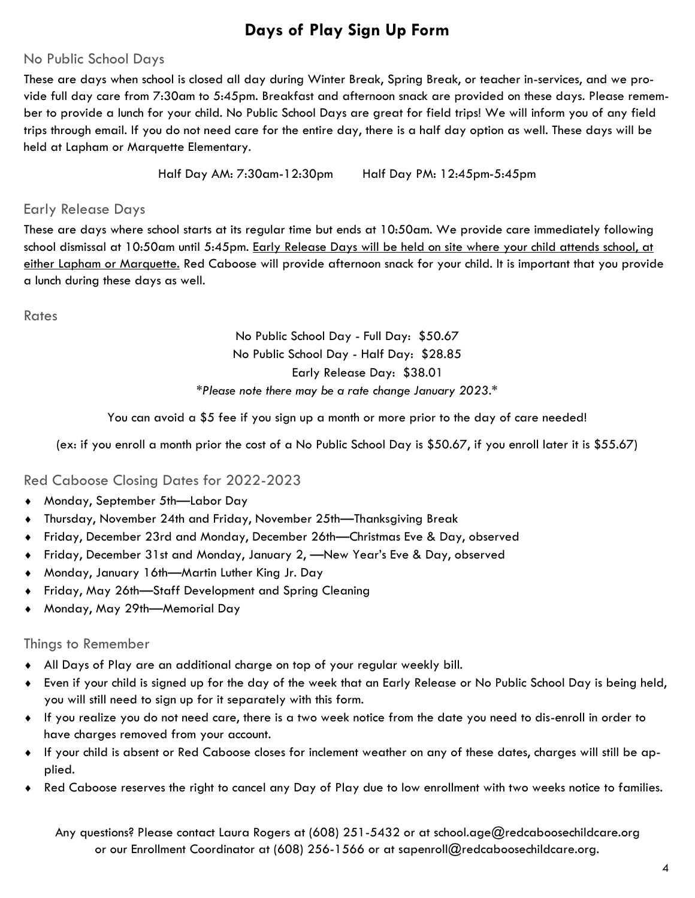## **Days of Play Sign Up Form**

### No Public School Days

These are days when school is closed all day during Winter Break, Spring Break, or teacher in-services, and we provide full day care from 7:30am to 5:45pm. Breakfast and afternoon snack are provided on these days. Please remember to provide a lunch for your child. No Public School Days are great for field trips! We will inform you of any field trips through email. If you do not need care for the entire day, there is a half day option as well. These days will be held at Lapham or Marquette Elementary.

Half Day AM: 7:30am-12:30pm Half Day PM: 12:45pm-5:45pm

### Early Release Days

These are days where school starts at its regular time but ends at 10:50am. We provide care immediately following school dismissal at 10:50am until 5:45pm. Early Release Days will be held on site where your child attends school, at either Lapham or Marquette. Red Caboose will provide afternoon snack for your child. It is important that you provide a lunch during these days as well.

Rates

### No Public School Day - Full Day: \$50.67 No Public School Day - Half Day: \$28.85 Early Release Day: \$38.01 *\*Please note there may be a rate change January 2023.\**

You can avoid a \$5 fee if you sign up a month or more prior to the day of care needed!

(ex: if you enroll a month prior the cost of a No Public School Day is \$50.67, if you enroll later it is \$55.67)

### Red Caboose Closing Dates for 2022-2023

- Monday, September 5th—Labor Day
- Thursday, November 24th and Friday, November 25th—Thanksgiving Break
- Friday, December 23rd and Monday, December 26th—Christmas Eve & Day, observed
- Friday, December 31st and Monday, January 2, —New Year's Eve & Day, observed
- Monday, January 16th—Martin Luther King Jr. Day
- Friday, May 26th—Staff Development and Spring Cleaning
- Monday, May 29th—Memorial Day

#### Things to Remember

- All Days of Play are an additional charge on top of your regular weekly bill.
- Even if your child is signed up for the day of the week that an Early Release or No Public School Day is being held, you will still need to sign up for it separately with this form.
- If you realize you do not need care, there is a two week notice from the date you need to dis-enroll in order to have charges removed from your account.
- If your child is absent or Red Caboose closes for inclement weather on any of these dates, charges will still be applied.
- Red Caboose reserves the right to cancel any Day of Play due to low enrollment with two weeks notice to families.

Any questions? Please contact Laura Rogers at (608) 251-5432 or at school.age@redcaboosechildcare.org or our Enrollment Coordinator at (608) 256-1566 or at sapenroll@redcaboosechildcare.org.